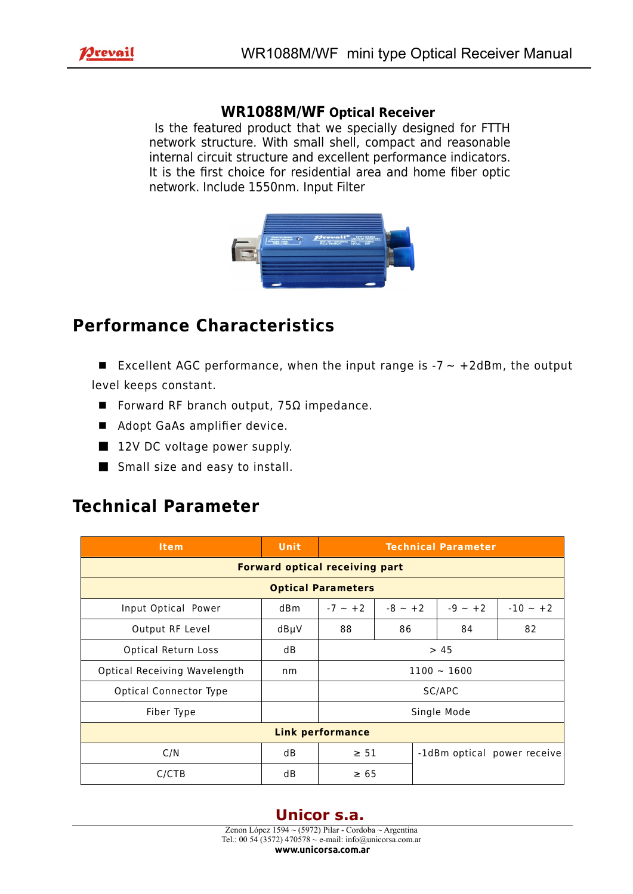

## **WR1088M/WF Optical Receiver**

 Is the featured product that we specially designed for FTTH network structure. With small shell, compact and reasonable internal circuit structure and excellent performance indicators. It is the first choice for residential area and home fiber optic network. Include 1550nm. Input Filter



## **Performance Characteristics**

■ Excellent AGC performance, when the input range is  $-7 \sim +2$ dBm, the output level keeps constant.

- Forward RF branch output, 75Ω impedance.
- Adopt GaAs amplifier device.
- 12V DC voltage power supply.
- Small size and easy to install.

## **Technical Parameter**

| <b>Item</b>                           | Unit | <b>Technical Parameter</b> |           |           |                             |  |  |
|---------------------------------------|------|----------------------------|-----------|-----------|-----------------------------|--|--|
| <b>Forward optical receiving part</b> |      |                            |           |           |                             |  |  |
| <b>Optical Parameters</b>             |      |                            |           |           |                             |  |  |
| Input Optical Power                   | dBm  | $-7 - +2$                  | $-8 - +2$ | $-9 - +2$ | $-10 - +2$                  |  |  |
| Output RF Level                       | dBµV | 88                         | 86        | 84        | 82                          |  |  |
| Optical Return Loss                   | dB   | > 45                       |           |           |                             |  |  |
| Optical Receiving Wavelength          | nm   | $1100 - 1600$              |           |           |                             |  |  |
| Optical Connector Type                |      | SC/APC                     |           |           |                             |  |  |
| Fiber Type                            |      | Single Mode                |           |           |                             |  |  |
| <b>Link performance</b>               |      |                            |           |           |                             |  |  |
| C/N                                   | dB   | $\geq 51$                  |           |           | -1dBm optical power receive |  |  |
| C/CTB                                 | dB   | $\geq 65$                  |           |           |                             |  |  |